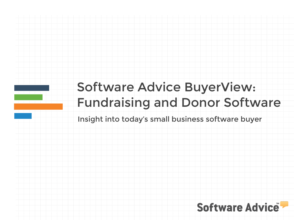# Software Advice BuyerView: Fundraising and Donor Software

Insight into today's small business software buyer

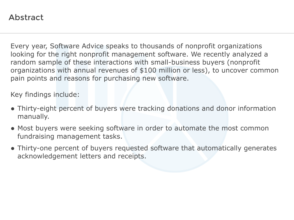## Abstract

Every year, Software Advice speaks to thousands of nonprofit organizations looking for the right nonprofit management software. We recently analyzed a random sample of these interactions with small-business buyers (nonprofit organizations with annual revenues of \$100 million or less), to uncover common pain points and reasons for purchasing new software.

Key findings include:

- Thirty-eight percent of buyers were tracking donations and donor information manually.
- Most buyers were seeking software in order to automate the most common fundraising management tasks.
- Thirty-one percent of buyers requested software that automatically generates acknowledgement letters and receipts.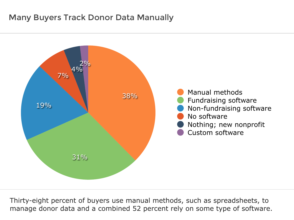## Many Buyers Track Donor Data Manually



Thirty-eight percent of buyers use manual methods, such as spreadsheets, to manage donor data and a combined 52 percent rely on some type of software.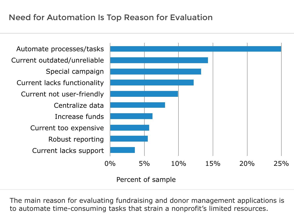

The main reason for evaluating fundraising and donor management applications is to automate time-consuming tasks that strain a nonprofit's limited resources.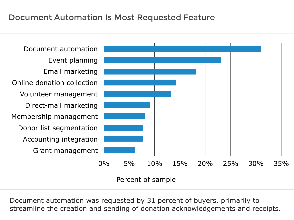

Percent of sample

Document automation was requested by 31 percent of buyers, primarily to streamline the creation and sending of donation acknowledgements and receipts.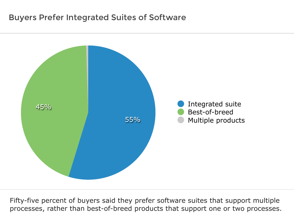## Buyers Prefer Integrated Suites of Software



Fifty-five percent of buyers said they prefer software suites that support multiple processes, rather than best-of-breed products that support one or two processes.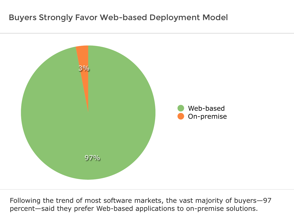## Buyers Strongly Favor Web-based Deployment Model



Following the trend of most software markets, the vast majority of buyers—97 percent—said they prefer Web-based applications to on-premise solutions.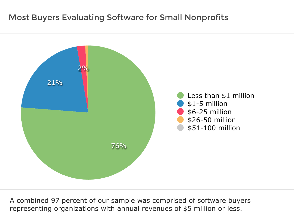# Most Buyers Evaluating Software for Small Nonprofits



A combined 97 percent of our sample was comprised of software buyers representing organizations with annual revenues of \$5 million or less.